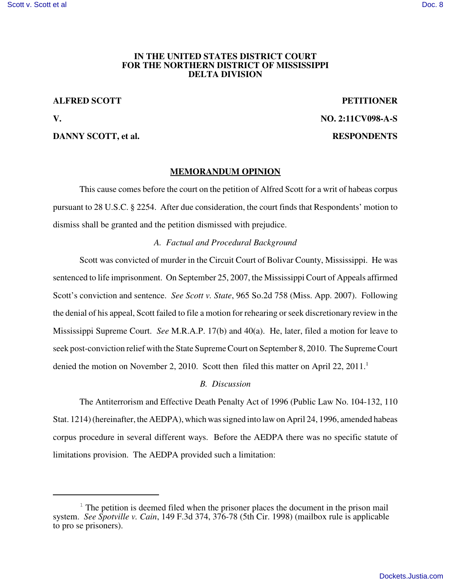### **IN THE UNITED STATES DISTRICT COURT FOR THE NORTHERN DISTRICT OF MISSISSIPPI DELTA DIVISION**

## **ALFRED SCOTT PETITIONER**

### **DANNY SCOTT, et al. RESPONDENTS**

**V. NO. 2:11CV098-A-S**

# **MEMORANDUM OPINION**

This cause comes before the court on the petition of Alfred Scott for a writ of habeas corpus pursuant to 28 U.S.C. § 2254. After due consideration, the court finds that Respondents' motion to dismiss shall be granted and the petition dismissed with prejudice.

### *A. Factual and Procedural Background*

Scott was convicted of murder in the Circuit Court of Bolivar County, Mississippi. He was sentenced to life imprisonment. On September 25, 2007, the Mississippi Court of Appeals affirmed Scott's conviction and sentence. *See Scott v. State*, 965 So.2d 758 (Miss. App. 2007). Following the denial of his appeal, Scott failed to file a motion for rehearing orseek discretionary review in the Mississippi Supreme Court. *See* M.R.A.P. 17(b) and 40(a). He, later, filed a motion for leave to seek post-conviction relief with the State SupremeCourt on September 8, 2010. The SupremeCourt denied the motion on November 2, 2010. Scott then filed this matter on April 22, 2011.<sup>1</sup>

### *B. Discussion*

The Antiterrorism and Effective Death Penalty Act of 1996 (Public Law No. 104-132, 110 Stat. 1214) (hereinafter, the AEDPA), which was signed into law on April 24, 1996, amended habeas corpus procedure in several different ways. Before the AEDPA there was no specific statute of limitations provision. The AEDPA provided such a limitation:

 $1$  The petition is deemed filed when the prisoner places the document in the prison mail system. *See Spotville v. Cain*, 149 F.3d 374, 376-78 (5th Cir. 1998) (mailbox rule is applicable to pro se prisoners).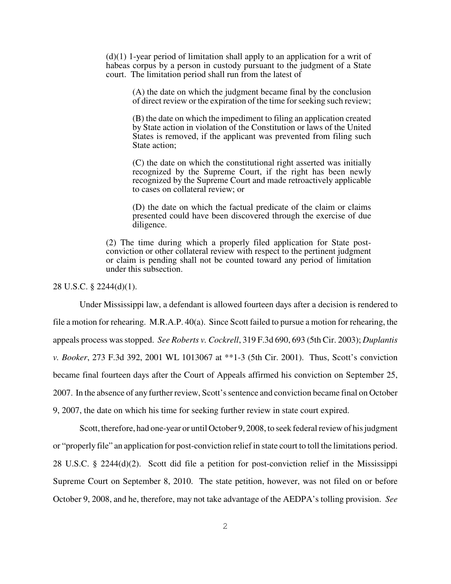$(d)(1)$  1-year period of limitation shall apply to an application for a writ of habeas corpus by a person in custody pursuant to the judgment of a State court. The limitation period shall run from the latest of

> (A) the date on which the judgment became final by the conclusion of direct review or the expiration of the time forseeking such review;

> (B) the date on which the impediment to filing an application created by State action in violation of the Constitution or laws of the United States is removed, if the applicant was prevented from filing such State action;

> (C) the date on which the constitutional right asserted was initially recognized by the Supreme Court, if the right has been newly recognized by the Supreme Court and made retroactively applicable to cases on collateral review; or

> (D) the date on which the factual predicate of the claim or claims presented could have been discovered through the exercise of due diligence.

(2) The time during which a properly filed application for State postconviction or other collateral review with respect to the pertinent judgment or claim is pending shall not be counted toward any period of limitation under this subsection.

28 U.S.C. § 2244(d)(1).

Under Mississippi law, a defendant is allowed fourteen days after a decision is rendered to file a motion for rehearing. M.R.A.P. 40(a). Since Scott failed to pursue a motion for rehearing, the appeals process wasstopped. *See Roberts v. Cockrell*, 319 F.3d 690, 693 (5th Cir. 2003); *Duplantis v. Booker*, 273 F.3d 392, 2001 WL 1013067 at \*\*1-3 (5th Cir. 2001). Thus, Scott's conviction became final fourteen days after the Court of Appeals affirmed his conviction on September 25, 2007. In the absence of any further review, Scott'ssentence and conviction became final on October 9, 2007, the date on which his time for seeking further review in state court expired.

Scott, therefore, had one-year or until October 9, 2008, to seek federal review of his judgment or "properly file" an application for post-conviction relief in state court to toll the limitations period. 28 U.S.C. § 2244(d)(2). Scott did file a petition for post-conviction relief in the Mississippi Supreme Court on September 8, 2010. The state petition, however, was not filed on or before October 9, 2008, and he, therefore, may not take advantage of the AEDPA's tolling provision. *See*